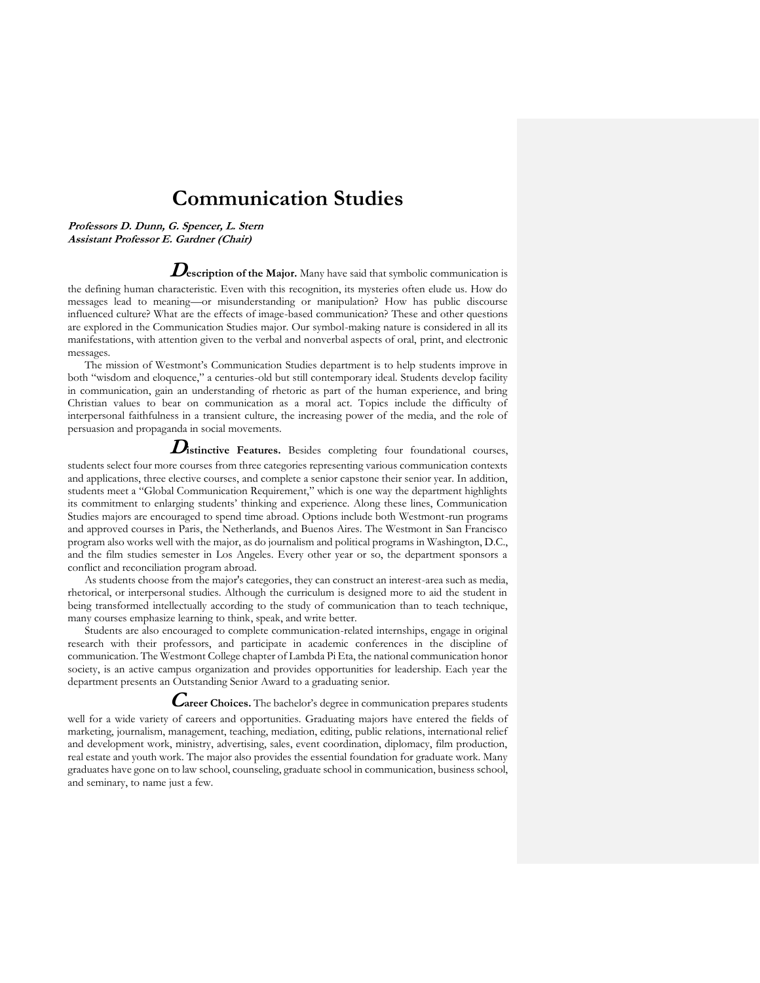# **Communication Studies**

**Professors D. Dunn, G. Spencer, L. Stern Assistant Professor E. Gardner (Chair)**

**Description of the Major.** Many have said that symbolic communication is

the defining human characteristic. Even with this recognition, its mysteries often elude us. How do messages lead to meaning—or misunderstanding or manipulation? How has public discourse influenced culture? What are the effects of image-based communication? These and other questions are explored in the Communication Studies major. Our symbol-making nature is considered in all its manifestations, with attention given to the verbal and nonverbal aspects of oral, print, and electronic messages.

The mission of Westmont's Communication Studies department is to help students improve in both "wisdom and eloquence," a centuries-old but still contemporary ideal. Students develop facility in communication, gain an understanding of rhetoric as part of the human experience, and bring Christian values to bear on communication as a moral act. Topics include the difficulty of interpersonal faithfulness in a transient culture, the increasing power of the media, and the role of persuasion and propaganda in social movements.

**Distinctive Features.** Besides completing four foundational courses,

students select four more courses from three categories representing various communication contexts and applications, three elective courses, and complete a senior capstone their senior year. In addition, students meet a "Global Communication Requirement," which is one way the department highlights its commitment to enlarging students' thinking and experience. Along these lines, Communication Studies majors are encouraged to spend time abroad. Options include both Westmont-run programs and approved courses in Paris, the Netherlands, and Buenos Aires. The Westmont in San Francisco program also works well with the major, as do journalism and political programs in Washington, D.C., and the film studies semester in Los Angeles. Every other year or so, the department sponsors a conflict and reconciliation program abroad.

As students choose from the major's categories, they can construct an interest-area such as media, rhetorical, or interpersonal studies. Although the curriculum is designed more to aid the student in being transformed intellectually according to the study of communication than to teach technique, many courses emphasize learning to think, speak, and write better.

Students are also encouraged to complete communication-related internships, engage in original research with their professors, and participate in academic conferences in the discipline of communication. The Westmont College chapter of Lambda Pi Eta, the national communication honor society, is an active campus organization and provides opportunities for leadership. Each year the department presents an Outstanding Senior Award to a graduating senior.

### **Career Choices.** The bachelor's degree in communication prepares students

well for a wide variety of careers and opportunities. Graduating majors have entered the fields of marketing, journalism, management, teaching, mediation, editing, public relations, international relief and development work, ministry, advertising, sales, event coordination, diplomacy, film production, real estate and youth work. The major also provides the essential foundation for graduate work. Many graduates have gone on to law school, counseling, graduate school in communication, business school, and seminary, to name just a few.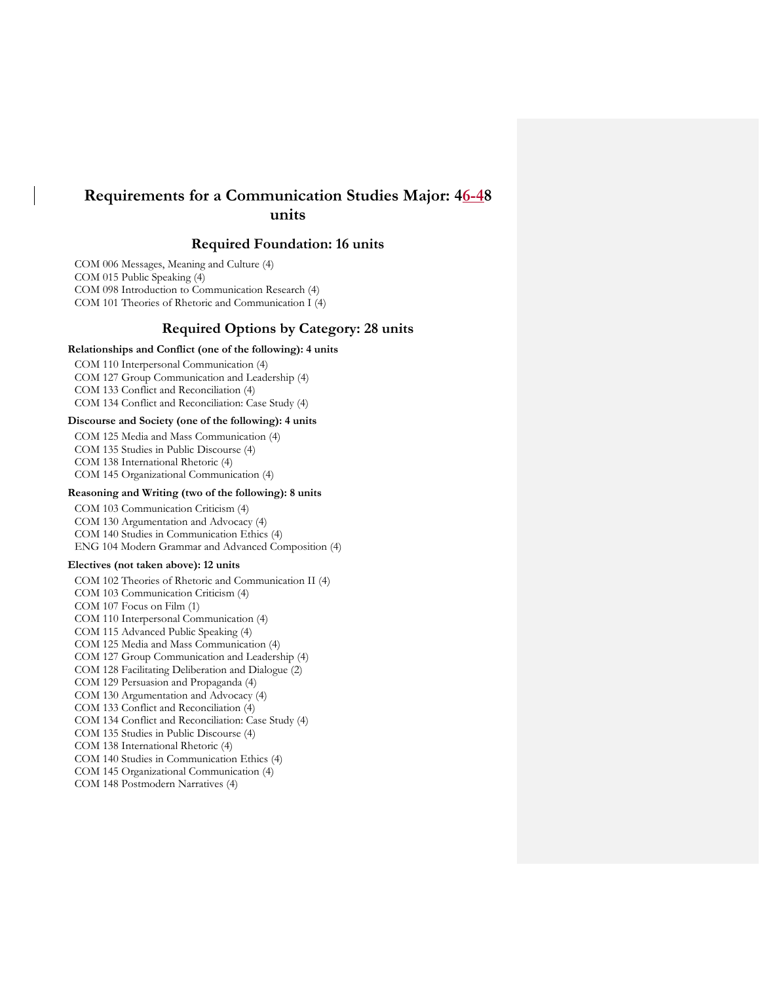# **Requirements for a Communication Studies Major: 46-48 units**

## **Required Foundation: 16 units**

COM 006 Messages, Meaning and Culture (4) COM 015 Public Speaking (4) COM 098 Introduction to Communication Research (4) COM 101 Theories of Rhetoric and Communication I (4)

## **Required Options by Category: 28 units**

#### **Relationships and Conflict (one of the following): 4 units**

COM 110 Interpersonal Communication (4)

COM 127 Group Communication and Leadership (4) COM 133 Conflict and Reconciliation (4)

COM 134 Conflict and Reconciliation: Case Study (4)

### **Discourse and Society (one of the following): 4 units**

COM 125 Media and Mass Communication (4)

COM 135 Studies in Public Discourse (4)

COM 138 International Rhetoric (4)

COM 145 Organizational Communication (4)

#### **Reasoning and Writing (two of the following): 8 units**

COM 103 Communication Criticism (4) COM 130 Argumentation and Advocacy (4) COM 140 Studies in Communication Ethics (4) ENG 104 Modern Grammar and Advanced Composition (4)

#### **Electives (not taken above): 12 units**

COM 102 Theories of Rhetoric and Communication II (4) COM 103 Communication Criticism (4) COM 107 Focus on Film (1) COM 110 Interpersonal Communication (4) COM 115 Advanced Public Speaking (4) COM 125 Media and Mass Communication (4) COM 127 Group Communication and Leadership (4) COM 128 Facilitating Deliberation and Dialogue (2) COM 129 Persuasion and Propaganda (4) COM 130 Argumentation and Advocacy (4) COM 133 Conflict and Reconciliation (4) COM 134 Conflict and Reconciliation: Case Study (4) COM 135 Studies in Public Discourse (4) COM 138 International Rhetoric (4) COM 140 Studies in Communication Ethics (4) COM 145 Organizational Communication (4) COM 148 Postmodern Narratives (4)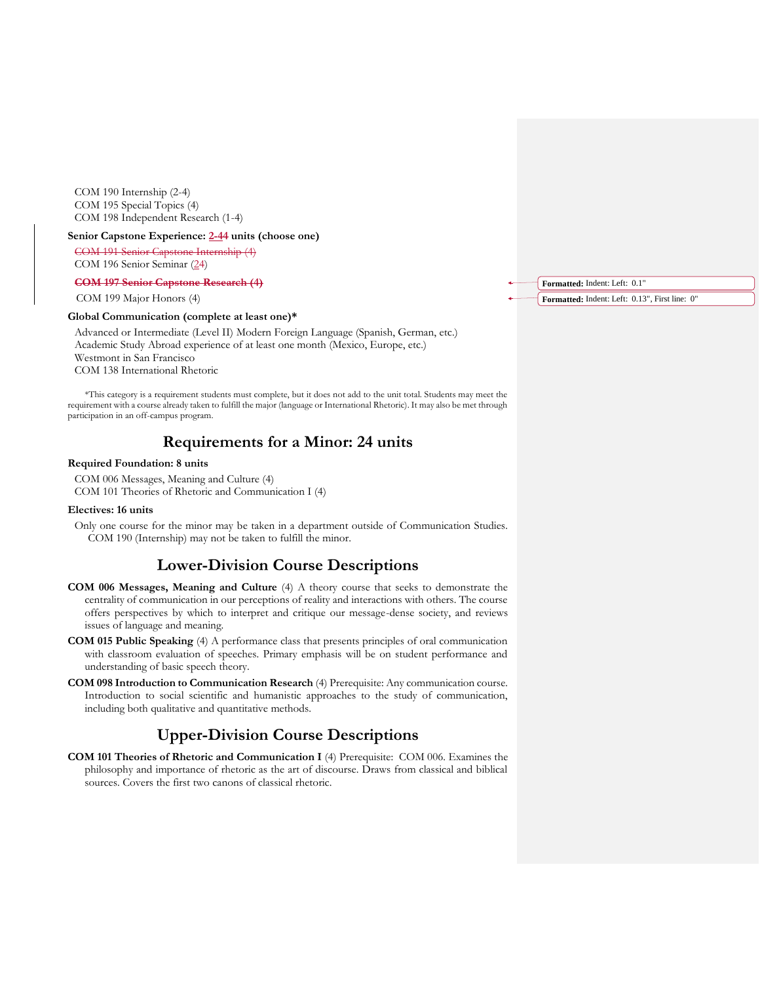COM 190 Internship (2-4) COM 195 Special Topics (4) COM 198 Independent Research (1-4)

#### **Senior Capstone Experience: 2-44 units (choose one)**

COM 191 Senior Capstone Internship (4) COM 196 Senior Seminar (24)

**COM 197 Senior Capstone Research (4)**

COM 199 Major Honors (4)

#### **Global Communication (complete at least one)\***

Advanced or Intermediate (Level II) Modern Foreign Language (Spanish, German, etc.) Academic Study Abroad experience of at least one month (Mexico, Europe, etc.) Westmont in San Francisco COM 138 International Rhetoric

\*This category is a requirement students must complete, but it does not add to the unit total. Students may meet the requirement with a course already taken to fulfill the major (language or International Rhetoric). It may also be met through participation in an off-campus program.

# **Requirements for a Minor: 24 units**

#### **Required Foundation: 8 units**

COM 006 Messages, Meaning and Culture (4) COM 101 Theories of Rhetoric and Communication I (4)

#### **Electives: 16 units**

Only one course for the minor may be taken in a department outside of Communication Studies. COM 190 (Internship) may not be taken to fulfill the minor.

# **Lower-Division Course Descriptions**

- **COM 006 Messages, Meaning and Culture** (4) A theory course that seeks to demonstrate the centrality of communication in our perceptions of reality and interactions with others. The course offers perspectives by which to interpret and critique our message-dense society, and reviews issues of language and meaning.
- **COM 015 Public Speaking** (4) A performance class that presents principles of oral communication with classroom evaluation of speeches. Primary emphasis will be on student performance and understanding of basic speech theory.
- **COM 098 Introduction to Communication Research** (4) Prerequisite: Any communication course. Introduction to social scientific and humanistic approaches to the study of communication, including both qualitative and quantitative methods.

# **Upper-Division Course Descriptions**

**COM 101 Theories of Rhetoric and Communication I** (4) Prerequisite: COM 006. Examines the philosophy and importance of rhetoric as the art of discourse. Draws from classical and biblical sources. Covers the first two canons of classical rhetoric.

**Formatted:** Indent: Left: 0.1" **Formatted:** Indent: Left: 0.13", First line: 0"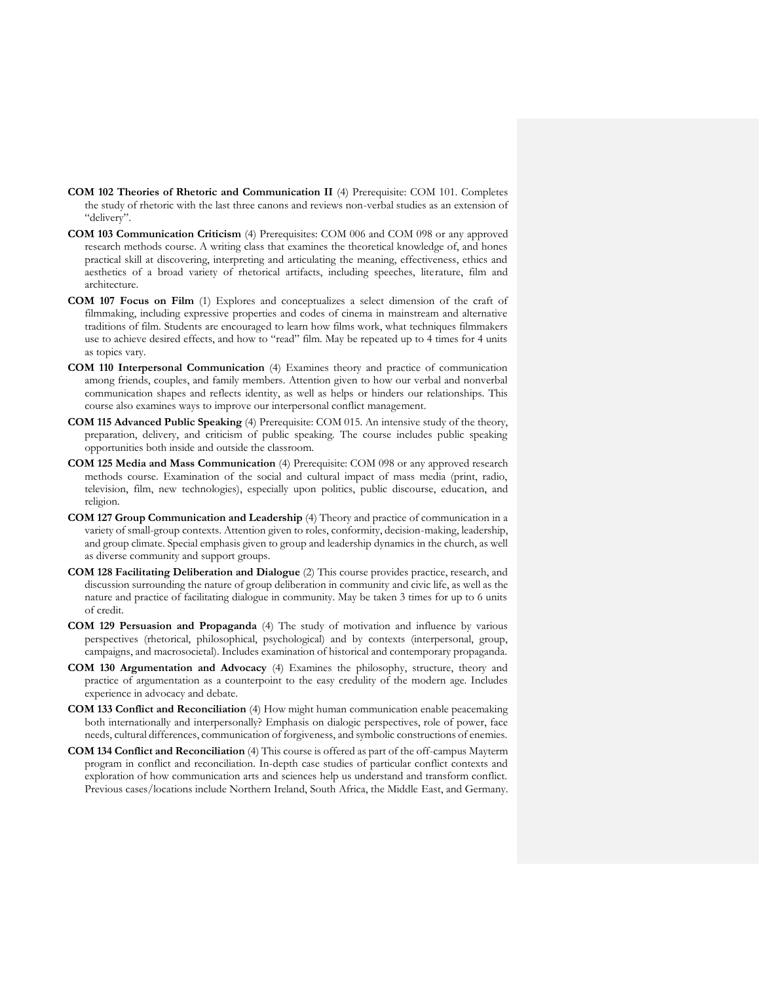- **COM 102 Theories of Rhetoric and Communication II** (4) Prerequisite: COM 101. Completes the study of rhetoric with the last three canons and reviews non-verbal studies as an extension of "delivery".
- **COM 103 Communication Criticism** (4) Prerequisites: COM 006 and COM 098 or any approved research methods course. A writing class that examines the theoretical knowledge of, and hones practical skill at discovering, interpreting and articulating the meaning, effectiveness, ethics and aesthetics of a broad variety of rhetorical artifacts, including speeches, literature, film and architecture.
- **COM 107 Focus on Film** (1) Explores and conceptualizes a select dimension of the craft of filmmaking, including expressive properties and codes of cinema in mainstream and alternative traditions of film. Students are encouraged to learn how films work, what techniques filmmakers use to achieve desired effects, and how to "read" film. May be repeated up to 4 times for 4 units as topics vary.
- **COM 110 Interpersonal Communication** (4) Examines theory and practice of communication among friends, couples, and family members. Attention given to how our verbal and nonverbal communication shapes and reflects identity, as well as helps or hinders our relationships. This course also examines ways to improve our interpersonal conflict management.
- **COM 115 Advanced Public Speaking** (4) Prerequisite: COM 015. An intensive study of the theory, preparation, delivery, and criticism of public speaking. The course includes public speaking opportunities both inside and outside the classroom.
- **COM 125 Media and Mass Communication** (4) Prerequisite: COM 098 or any approved research methods course. Examination of the social and cultural impact of mass media (print, radio, television, film, new technologies), especially upon politics, public discourse, education, and religion.
- **COM 127 Group Communication and Leadership** (4) Theory and practice of communication in a variety of small-group contexts. Attention given to roles, conformity, decision-making, leadership, and group climate. Special emphasis given to group and leadership dynamics in the church, as well as diverse community and support groups.
- **COM 128 Facilitating Deliberation and Dialogue** (2) This course provides practice, research, and discussion surrounding the nature of group deliberation in community and civic life, as well as the nature and practice of facilitating dialogue in community. May be taken 3 times for up to 6 units of credit.
- **COM 129 Persuasion and Propaganda** (4) The study of motivation and influence by various perspectives (rhetorical, philosophical, psychological) and by contexts (interpersonal, group, campaigns, and macrosocietal). Includes examination of historical and contemporary propaganda.
- **COM 130 Argumentation and Advocacy** (4) Examines the philosophy, structure, theory and practice of argumentation as a counterpoint to the easy credulity of the modern age. Includes experience in advocacy and debate.
- **COM 133 Conflict and Reconciliation** (4) How might human communication enable peacemaking both internationally and interpersonally? Emphasis on dialogic perspectives, role of power, face needs, cultural differences, communication of forgiveness, and symbolic constructions of enemies.
- **COM 134 Conflict and Reconciliation** (4) This course is offered as part of the off-campus Mayterm program in conflict and reconciliation. In-depth case studies of particular conflict contexts and exploration of how communication arts and sciences help us understand and transform conflict. Previous cases/locations include Northern Ireland, South Africa, the Middle East, and Germany.